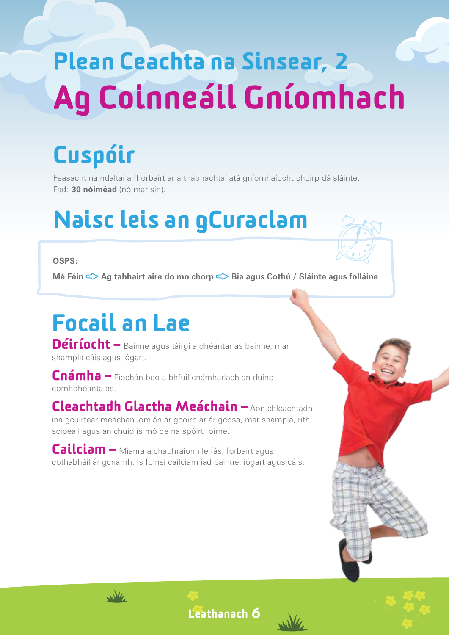# Plean Ceachta na Sinsear, 2 Ag Coinneáil Gníomhach

## Cuspóir

Feasacht na ndaltaí a fhorbairt ar a thábhachtaí atá gníomhaíocht choirp dá sláinte. Fad: **30 nóiméad** (nó mar sin).

### Naisc leis an gCuraclam

#### **OSPS:**

**Mé Féin**  $\leq$  **Ag tabhairt aire do mo chorp**  $\leq$  **Bia agus Cothú / Sláinte agus folláine** 

## Focail an Lae

Déiríocht – Bainne agus táirgí a dhéantar as bainne, mar shampla cáis agus iógart.

Cnámha – Fíochán beo a bhfuil cnámharlach an duine comhdhéanta as.

### Cleachtadh Glactha Meáchain – Aon chleachtadh

ina gcuirtear meáchan iomlán ár gcoirp ar ár gcosa, mar shampla, rith, scipeáil agus an chuid is mó de na spóirt foirne.

Cailciam – Mianra a chabhraíonn le fás, forbairt agus cothabháil ár gcnámh. Is foinsí cailciam iad bainne, iógart agus cáis.





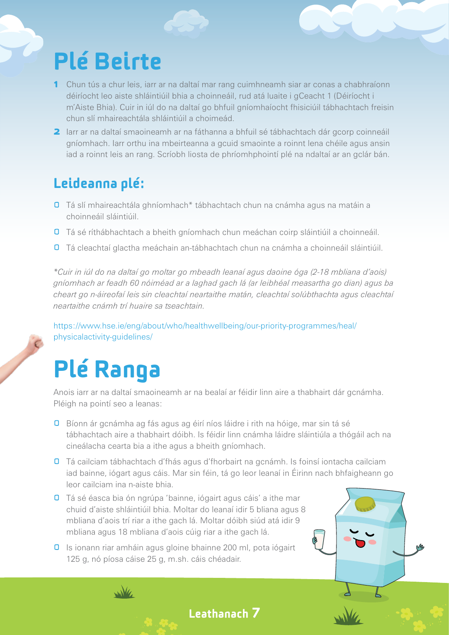### Plé Beirte

- 1 Chun tús a chur leis, iarr ar na daltaí mar rang cuimhneamh siar ar conas a chabhraíonn déiríocht leo aiste shláintiúil bhia a choinneáil, rud atá luaite i gCeacht 1 (Déiríocht i m'Aiste Bhia). Cuir in iúl do na daltaí go bhfuil gníomhaíocht fhisiciúil tábhachtach freisin chun slí mhaireachtála shláintiúil a choimeád.
- 2 larr ar na daltaí smaoineamh ar na fáthanna a bhfuil sé tábhachtach dár gcorp coinneáil gníomhach. Iarr orthu ina mbeirteanna a gcuid smaointe a roinnt lena chéile agus ansin iad a roinnt leis an rang. Scríobh liosta de phríomhphointí plé na ndaltaí ar an gclár bán.

#### Leideanna plé:

- **D** Tá slí mhaireachtála ghníomhach\* tábhachtach chun na cnámha agus na matáin a choinneáil sláintiúil.
- **O** Tá sé ríthábhachtach a bheith gníomhach chun meáchan coirp sláintiúil a choinneáil.
- Tá cleachtaí glactha meáchain an-tábhachtach chun na cnámha a choinneáil sláintiúil.

*\*Cuir in iúl do na daltaí go moltar go mbeadh leanaí agus daoine óga (2-18 mbliana d'aois) gníomhach ar feadh 60 nóiméad ar a laghad gach lá (ar leibhéal measartha go dian) agus ba cheart go n-áireofaí leis sin cleachtaí neartaithe matán, cleachtaí solúbthachta agus cleachtaí neartaithe cnámh trí huaire sa tseachtain.*

https://www.hse.ie/eng/about/who/healthwellbeing/our-priority-programmes/heal/ physicalactivity-guidelines/

### Plé Ranga

 $\mathcal{M}_{\mathcal{U}}$ 

Anois iarr ar na daltaí smaoineamh ar na bealaí ar féidir linn aire a thabhairt dár gcnámha. Pléigh na pointí seo a leanas:

- **D** Bíonn ár gcnámha ag fás agus ag éirí níos láidre i rith na hóige, mar sin tá sé tábhachtach aire a thabhairt dóibh. Is féidir linn cnámha láidre sláintiúla a thógáil ach na cineálacha cearta bia a ithe agus a bheith gníomhach.
- **O** Tá cailciam tábhachtach d'fhás agus d'fhorbairt na gcnámh. Is foinsí iontacha cailciam iad bainne, iógart agus cáis. Mar sin féin, tá go leor leanaí in Éirinn nach bhfaigheann go leor cailciam ina n-aiste bhia.

Leathanach 7

- **O** Tá sé éasca bia ón ngrúpa 'bainne, iógairt agus cáis' a ithe mar chuid d'aiste shláintiúil bhia. Moltar do leanaí idir 5 bliana agus 8 mbliana d'aois trí riar a ithe gach lá. Moltar dóibh siúd atá idir 9 mbliana agus 18 mbliana d'aois cúig riar a ithe gach lá.
- **D** Is ionann riar amháin agus gloine bhainne 200 ml, pota iógairt 125 g, nó píosa cáise 25 g, m.sh. cáis chéadair.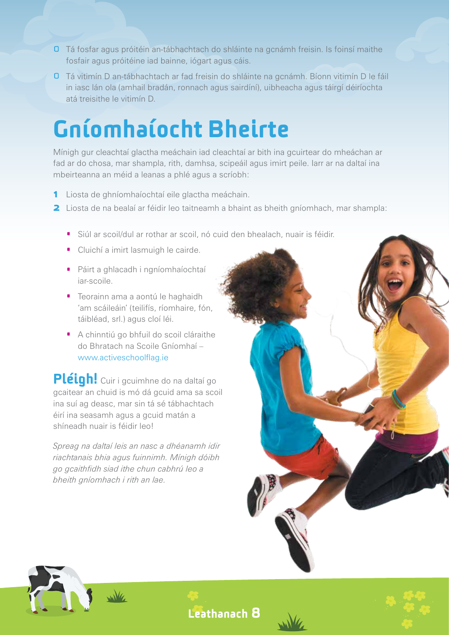- **O** Tá fosfar agus próitéin an-tábhachtach do shláinte na gcnámh freisin. Is foinsí maithe fosfair agus próitéine iad bainne, iógart agus cáis.
- **O** Tá vitimín D an-tábhachtach ar fad freisin do shláinte na gcnámh. Bíonn vitimín D le fáil in iasc lán ola (amhail bradán, ronnach agus sairdíní), uibheacha agus táirgí déiríochta atá treisithe le vitimín D.

### Gníomhaíocht Bheirte

Mínigh gur cleachtaí glactha meáchain iad cleachtaí ar bith ina gcuirtear do mheáchan ar fad ar do chosa, mar shampla, rith, damhsa, scipeáil agus imirt peile. Iarr ar na daltaí ina mbeirteanna an méid a leanas a phlé agus a scríobh:

- 1 Liosta de ghníomhaíochtaí eile glactha meáchain.
- **2** Liosta de na bealaí ar féidir leo taitneamh a bhaint as bheith gníomhach, mar shampla:
	- · Siúl ar scoil/dul ar rothar ar scoil, nó cuid den bhealach, nuair is féidir.
	- · Cluichí a imirt lasmuigh le cairde.
	- · Páirt a ghlacadh i ngníomhaíochtaí iar-scoile.
	- · Teorainn ama a aontú le haghaidh 'am scáileáin' (teilifís, ríomhaire, fón, táibléad, srl.) agus cloí léi.
	- · A chinntiú go bhfuil do scoil cláraithe do Bhratach na Scoile Gníomhaí – www.activeschoolflag.ie

Pléigh! Cuir i gcuimhne do na daltaí go gcaitear an chuid is mó dá gcuid ama sa scoil ina suí ag deasc, mar sin tá sé tábhachtach éirí ina seasamh agus a gcuid matán a shíneadh nuair is féidir leo!

*Spreag na daltaí leis an nasc a dhéanamh idir riachtanais bhia agus fuinnimh. Mínigh dóibh go gcaithfidh siad ithe chun cabhrú leo a bheith gníomhach i rith an lae.*